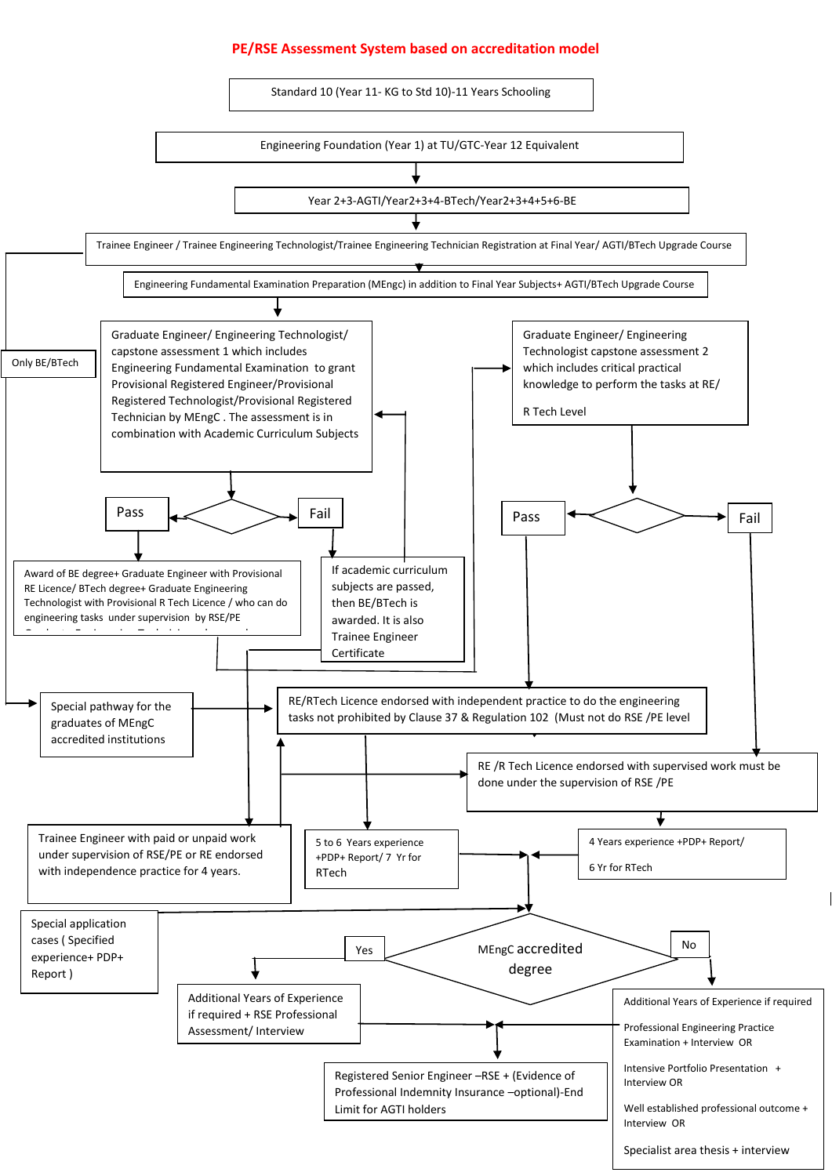